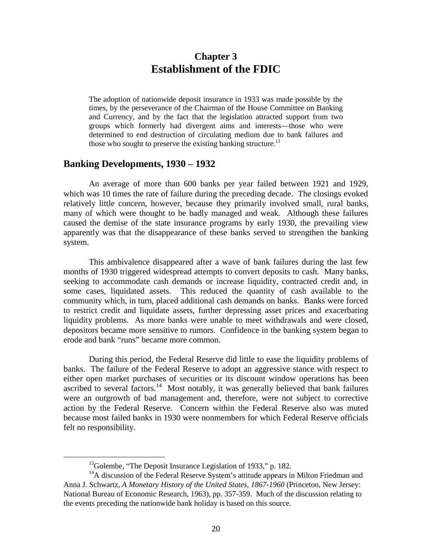# **Chapter 3 Establishment of the FDIC**

The adoption of nationwide deposit insurance in 1933 was made possible by the times, by the perseverance of the Chairman of the House Committee on Banking and Currency, and by the fact that the legislation attracted support from two groups which formerly had divergent aims and interests—those who were determined to end destruction of circulating medium due to bank failures and those who sought to preserve the existing banking structure.<sup>13</sup>

#### **Banking Developments, 1930 – 1932**

An average of more than 600 banks per year failed between 1921 and 1929, which was 10 times the rate of failure during the preceding decade. The closings evoked relatively little concern, however, because they primarily involved small, rural banks, many of which were thought to be badly managed and weak. Although these failures caused the demise of the state insurance programs by early 1930, the prevailing view apparently was that the disappearance of these banks served to strengthen the banking system.

This ambivalence disappeared after a wave of bank failures during the last few months of 1930 triggered widespread attempts to convert deposits to cash. Many banks, seeking to accommodate cash demands or increase liquidity, contracted credit and, in some cases, liquidated assets. This reduced the quantity of cash available to the community which, in turn, placed additional cash demands on banks. Banks were forced to restrict credit and liquidate assets, further depressing asset prices and exacerbating liquidity problems. As more banks were unable to meet withdrawals and were closed, depositors became more sensitive to rumors. Confidence in the banking system began to erode and bank "runs" became more common.

During this period, the Federal Reserve did little to ease the liquidity problems of banks. The failure of the Federal Reserve to adopt an aggressive stance with respect to either open market purchases of securities or its discount window operations has been ascribed to several factors.<sup>14</sup> Most notably, it was generally believed that bank failures were an outgrowth of bad management and, therefore, were not subject to corrective action by the Federal Reserve. Concern within the Federal Reserve also was muted because most failed banks in 1930 were nonmembers for which Federal Reserve officials felt no responsibility.

<sup>&</sup>lt;sup>13</sup>Golembe, "The Deposit Insurance Legislation of 1933," p. 182.

<sup>&</sup>lt;sup>14</sup>A discussion of the Federal Reserve System's attitude appears in Milton Friedman and Anna J. Schwartz, *A Monetary History of the United States, 1867-1960* (Princeton, New Jersey: National Bureau of Economic Research, 1963), pp. 357-359. Much of the discussion relating to the events preceding the nationwide bank holiday is based on this source.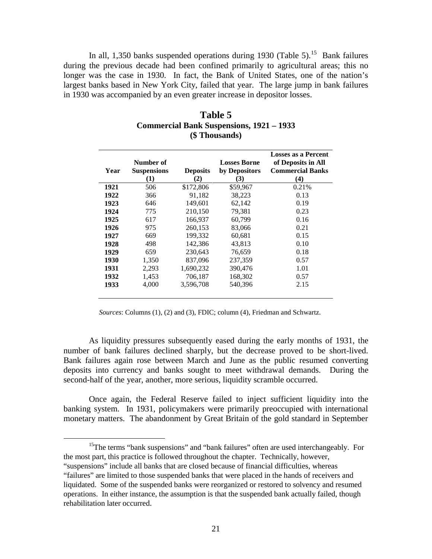In all, 1,350 banks suspended operations during 1930 (Table 5).<sup>15</sup> Bank failures during the previous decade had been confined primarily to agricultural areas; this no longer was the case in 1930. In fact, the Bank of United States, one of the nation's largest banks based in New York City, failed that year. The large jump in bank failures in 1930 was accompanied by an even greater increase in depositor losses.

| Year | Number of<br><b>Suspensions</b><br>$\bf(1)$ | <b>Deposits</b><br>(2) | <b>Losses Borne</b><br>by Depositors<br>(3) | <b>Losses as a Percent</b><br>of Deposits in All<br><b>Commercial Banks</b><br>(4) |
|------|---------------------------------------------|------------------------|---------------------------------------------|------------------------------------------------------------------------------------|
| 1921 | 506                                         | \$172,806              | \$59,967                                    | 0.21%                                                                              |
| 1922 | 366                                         | 91,182                 | 38,223                                      | 0.13                                                                               |
| 1923 | 646                                         | 149.601                | 62.142                                      | 0.19                                                                               |
| 1924 | 775                                         | 210,150                | 79,381                                      | 0.23                                                                               |
| 1925 | 617                                         | 166.937                | 60.799                                      | 0.16                                                                               |
| 1926 | 975                                         | 260,153                | 83,066                                      | 0.21                                                                               |
| 1927 | 669                                         | 199,332                | 60,681                                      | 0.15                                                                               |
| 1928 | 498                                         | 142,386                | 43,813                                      | 0.10                                                                               |
| 1929 | 659                                         | 230,643                | 76,659                                      | 0.18                                                                               |
| 1930 | 1,350                                       | 837,096                | 237,359                                     | 0.57                                                                               |
| 1931 | 2,293                                       | 1,690,232              | 390,476                                     | 1.01                                                                               |
| 1932 | 1,453                                       | 706,187                | 168,302                                     | 0.57                                                                               |
| 1933 | 4,000                                       | 3,596,708              | 540,396                                     | 2.15                                                                               |

| Table 5                                         |
|-------------------------------------------------|
| <b>Commercial Bank Suspensions, 1921 – 1933</b> |
| (\$ Thousands)                                  |

*Sources*: Columns (1), (2) and (3), FDIC; column (4), Friedman and Schwartz.

As liquidity pressures subsequently eased during the early months of 1931, the number of bank failures declined sharply, but the decrease proved to be short-lived. Bank failures again rose between March and June as the public resumed converting deposits into currency and banks sought to meet withdrawal demands. During the second-half of the year, another, more serious, liquidity scramble occurred.

Once again, the Federal Reserve failed to inject sufficient liquidity into the banking system. In 1931, policymakers were primarily preoccupied with international monetary matters. The abandonment by Great Britain of the gold standard in September

<sup>15</sup>The terms "bank suspensions" and "bank failures" often are used interchangeably. For the most part, this practice is followed throughout the chapter. Technically, however,

<sup>&</sup>quot;suspensions" include all banks that are closed because of financial difficulties, whereas "failures" are limited to those suspended banks that were placed in the hands of receivers and liquidated. Some of the suspended banks were reorganized or restored to solvency and resumed operations. In either instance, the assumption is that the suspended bank actually failed, though rehabilitation later occurred.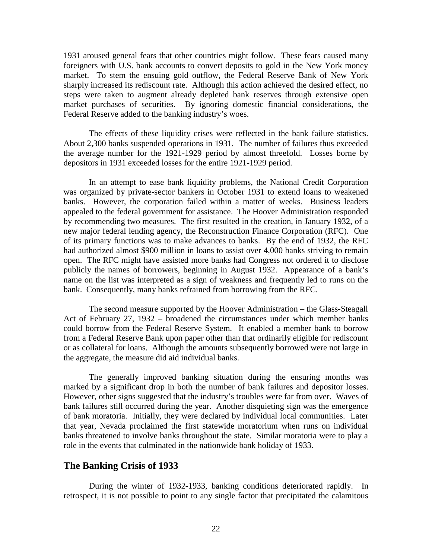1931 aroused general fears that other countries might follow. These fears caused many foreigners with U.S. bank accounts to convert deposits to gold in the New York money market. To stem the ensuing gold outflow, the Federal Reserve Bank of New York sharply increased its rediscount rate. Although this action achieved the desired effect, no steps were taken to augment already depleted bank reserves through extensive open market purchases of securities. By ignoring domestic financial considerations, the Federal Reserve added to the banking industry's woes.

The effects of these liquidity crises were reflected in the bank failure statistics. About 2,300 banks suspended operations in 1931. The number of failures thus exceeded the average number for the 1921-1929 period by almost threefold. Losses borne by depositors in 1931 exceeded losses for the entire 1921-1929 period.

In an attempt to ease bank liquidity problems, the National Credit Corporation was organized by private-sector bankers in October 1931 to extend loans to weakened banks. However, the corporation failed within a matter of weeks. Business leaders appealed to the federal government for assistance. The Hoover Administration responded by recommending two measures. The first resulted in the creation, in January 1932, of a new major federal lending agency, the Reconstruction Finance Corporation (RFC). One of its primary functions was to make advances to banks. By the end of 1932, the RFC had authorized almost \$900 million in loans to assist over 4,000 banks striving to remain open. The RFC might have assisted more banks had Congress not ordered it to disclose publicly the names of borrowers, beginning in August 1932. Appearance of a bank's name on the list was interpreted as a sign of weakness and frequently led to runs on the bank. Consequently, many banks refrained from borrowing from the RFC.

The second measure supported by the Hoover Administration – the Glass-Steagall Act of February 27, 1932 – broadened the circumstances under which member banks could borrow from the Federal Reserve System. It enabled a member bank to borrow from a Federal Reserve Bank upon paper other than that ordinarily eligible for rediscount or as collateral for loans. Although the amounts subsequently borrowed were not large in the aggregate, the measure did aid individual banks.

The generally improved banking situation during the ensuring months was marked by a significant drop in both the number of bank failures and depositor losses. However, other signs suggested that the industry's troubles were far from over. Waves of bank failures still occurred during the year. Another disquieting sign was the emergence of bank moratoria. Initially, they were declared by individual local communities. Later that year, Nevada proclaimed the first statewide moratorium when runs on individual banks threatened to involve banks throughout the state. Similar moratoria were to play a role in the events that culminated in the nationwide bank holiday of 1933.

#### **The Banking Crisis of 1933**

During the winter of 1932-1933, banking conditions deteriorated rapidly. In retrospect, it is not possible to point to any single factor that precipitated the calamitous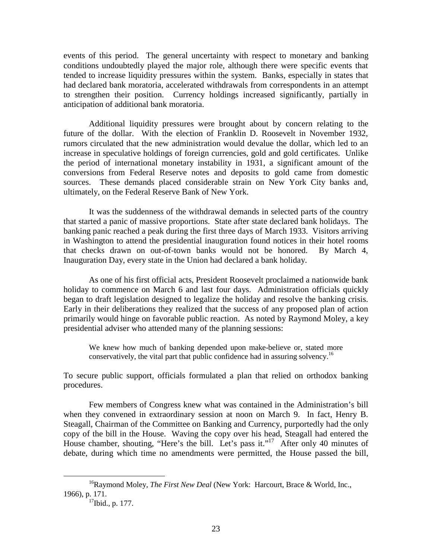events of this period. The general uncertainty with respect to monetary and banking conditions undoubtedly played the major role, although there were specific events that tended to increase liquidity pressures within the system. Banks, especially in states that had declared bank moratoria, accelerated withdrawals from correspondents in an attempt to strengthen their position. Currency holdings increased significantly, partially in anticipation of additional bank moratoria.

Additional liquidity pressures were brought about by concern relating to the future of the dollar. With the election of Franklin D. Roosevelt in November 1932, rumors circulated that the new administration would devalue the dollar, which led to an increase in speculative holdings of foreign currencies, gold and gold certificates. Unlike the period of international monetary instability in 1931, a significant amount of the conversions from Federal Reserve notes and deposits to gold came from domestic sources. These demands placed considerable strain on New York City banks and, ultimately, on the Federal Reserve Bank of New York.

It was the suddenness of the withdrawal demands in selected parts of the country that started a panic of massive proportions. State after state declared bank holidays. The banking panic reached a peak during the first three days of March 1933. Visitors arriving in Washington to attend the presidential inauguration found notices in their hotel rooms that checks drawn on out-of-town banks would not be honored. By March 4, Inauguration Day, every state in the Union had declared a bank holiday.

As one of his first official acts, President Roosevelt proclaimed a nationwide bank holiday to commence on March 6 and last four days. Administration officials quickly began to draft legislation designed to legalize the holiday and resolve the banking crisis. Early in their deliberations they realized that the success of any proposed plan of action primarily would hinge on favorable public reaction. As noted by Raymond Moley, a key presidential adviser who attended many of the planning sessions:

We knew how much of banking depended upon make-believe or, stated more conservatively, the vital part that public confidence had in assuring solvency.<sup>16</sup>

To secure public support, officials formulated a plan that relied on orthodox banking procedures.

Few members of Congress knew what was contained in the Administration's bill when they convened in extraordinary session at noon on March 9. In fact, Henry B. Steagall, Chairman of the Committee on Banking and Currency, purportedly had the only copy of the bill in the House. Waving the copy over his head, Steagall had entered the House chamber, shouting, "Here's the bill. Let's pass it."<sup>17</sup> After only 40 minutes of debate, during which time no amendments were permitted, the House passed the bill,

<sup>&</sup>lt;sup>16</sup>Raymond Moley, *The First New Deal* (New York: Harcourt, Brace & World, Inc., 1966), p. 171.

<sup>&</sup>lt;sup>17</sup>Ibid., p. 177.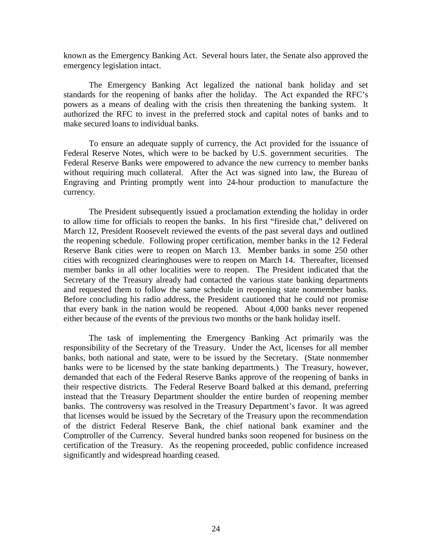known as the Emergency Banking Act. Several hours later, the Senate also approved the emergency legislation intact.

The Emergency Banking Act legalized the national bank holiday and set standards for the reopening of banks after the holiday. The Act expanded the RFC's powers as a means of dealing with the crisis then threatening the banking system. It authorized the RFC to invest in the preferred stock and capital notes of banks and to make secured loans to individual banks.

To ensure an adequate supply of currency, the Act provided for the issuance of Federal Reserve Notes, which were to be backed by U.S. government securities. The Federal Reserve Banks were empowered to advance the new currency to member banks without requiring much collateral. After the Act was signed into law, the Bureau of Engraving and Printing promptly went into 24-hour production to manufacture the currency.

The President subsequently issued a proclamation extending the holiday in order to allow time for officials to reopen the banks. In his first "fireside chat," delivered on March 12, President Roosevelt reviewed the events of the past several days and outlined the reopening schedule. Following proper certification, member banks in the 12 Federal Reserve Bank cities were to reopen on March 13. Member banks in some 250 other cities with recognized clearinghouses were to reopen on March 14. Thereafter, licensed member banks in all other localities were to reopen. The President indicated that the Secretary of the Treasury already had contacted the various state banking departments and requested them to follow the same schedule in reopening state nonmember banks. Before concluding his radio address, the President cautioned that he could not promise that every bank in the nation would be reopened. About 4,000 banks never reopened either because of the events of the previous two months or the bank holiday itself.

The task of implementing the Emergency Banking Act primarily was the responsibility of the Secretary of the Treasury. Under the Act, licenses for all member banks, both national and state, were to be issued by the Secretary. (State nonmember banks were to be licensed by the state banking departments.) The Treasury, however, demanded that each of the Federal Reserve Banks approve of the reopening of banks in their respective districts. The Federal Reserve Board balked at this demand, preferring instead that the Treasury Department shoulder the entire burden of reopening member banks. The controversy was resolved in the Treasury Department's favor. It was agreed that licenses would be issued by the Secretary of the Treasury upon the recommendation of the district Federal Reserve Bank, the chief national bank examiner and the Comptroller of the Currency. Several hundred banks soon reopened for business on the certification of the Treasury. As the reopening proceeded, public confidence increased significantly and widespread hoarding ceased.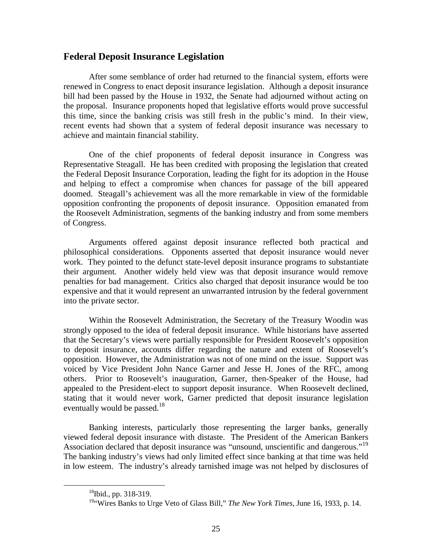### **Federal Deposit Insurance Legislation**

After some semblance of order had returned to the financial system, efforts were renewed in Congress to enact deposit insurance legislation. Although a deposit insurance bill had been passed by the House in 1932, the Senate had adjourned without acting on the proposal. Insurance proponents hoped that legislative efforts would prove successful this time, since the banking crisis was still fresh in the public's mind. In their view, recent events had shown that a system of federal deposit insurance was necessary to achieve and maintain financial stability.

One of the chief proponents of federal deposit insurance in Congress was Representative Steagall. He has been credited with proposing the legislation that created the Federal Deposit Insurance Corporation, leading the fight for its adoption in the House and helping to effect a compromise when chances for passage of the bill appeared doomed. Steagall's achievement was all the more remarkable in view of the formidable opposition confronting the proponents of deposit insurance. Opposition emanated from the Roosevelt Administration, segments of the banking industry and from some members of Congress.

Arguments offered against deposit insurance reflected both practical and philosophical considerations. Opponents asserted that deposit insurance would never work. They pointed to the defunct state-level deposit insurance programs to substantiate their argument. Another widely held view was that deposit insurance would remove penalties for bad management. Critics also charged that deposit insurance would be too expensive and that it would represent an unwarranted intrusion by the federal government into the private sector.

Within the Roosevelt Administration, the Secretary of the Treasury Woodin was strongly opposed to the idea of federal deposit insurance. While historians have asserted that the Secretary's views were partially responsible for President Roosevelt's opposition to deposit insurance, accounts differ regarding the nature and extent of Roosevelt's opposition. However, the Administration was not of one mind on the issue. Support was voiced by Vice President John Nance Garner and Jesse H. Jones of the RFC, among others. Prior to Roosevelt's inauguration, Garner, then-Speaker of the House, had appealed to the President-elect to support deposit insurance. When Roosevelt declined, stating that it would never work, Garner predicted that deposit insurance legislation eventually would be passed.<sup>18</sup>

Banking interests, particularly those representing the larger banks, generally viewed federal deposit insurance with distaste. The President of the American Bankers Association declared that deposit insurance was "unsound, unscientific and dangerous."<sup>19</sup> The banking industry's views had only limited effect since banking at that time was held in low esteem. The industry's already tarnished image was not helped by disclosures of

 <sup>18</sup>Ibid., pp. 318-319.

<sup>&</sup>lt;sup>19</sup>"Wires Banks to Urge Veto of Glass Bill," *The New York Times*, June 16, 1933, p. 14.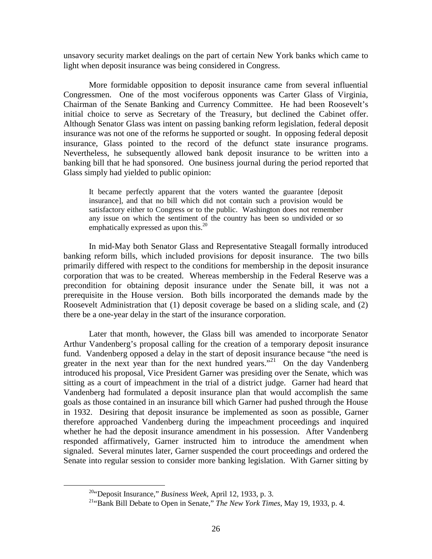unsavory security market dealings on the part of certain New York banks which came to light when deposit insurance was being considered in Congress.

More formidable opposition to deposit insurance came from several influential Congressmen. One of the most vociferous opponents was Carter Glass of Virginia, Chairman of the Senate Banking and Currency Committee. He had been Roosevelt's initial choice to serve as Secretary of the Treasury, but declined the Cabinet offer. Although Senator Glass was intent on passing banking reform legislation, federal deposit insurance was not one of the reforms he supported or sought. In opposing federal deposit insurance, Glass pointed to the record of the defunct state insurance programs. Nevertheless, he subsequently allowed bank deposit insurance to be written into a banking bill that he had sponsored. One business journal during the period reported that Glass simply had yielded to public opinion:

It became perfectly apparent that the voters wanted the guarantee [deposit insurance], and that no bill which did not contain such a provision would be satisfactory either to Congress or to the public. Washington does not remember any issue on which the sentiment of the country has been so undivided or so emphatically expressed as upon this. $^{20}$ 

In mid-May both Senator Glass and Representative Steagall formally introduced banking reform bills, which included provisions for deposit insurance. The two bills primarily differed with respect to the conditions for membership in the deposit insurance corporation that was to be created. Whereas membership in the Federal Reserve was a precondition for obtaining deposit insurance under the Senate bill, it was not a prerequisite in the House version. Both bills incorporated the demands made by the Roosevelt Administration that (1) deposit coverage be based on a sliding scale, and (2) there be a one-year delay in the start of the insurance corporation.

Later that month, however, the Glass bill was amended to incorporate Senator Arthur Vandenberg's proposal calling for the creation of a temporary deposit insurance fund. Vandenberg opposed a delay in the start of deposit insurance because "the need is greater in the next year than for the next hundred years."<sup>21</sup> On the day Vandenberg introduced his proposal, Vice President Garner was presiding over the Senate, which was sitting as a court of impeachment in the trial of a district judge. Garner had heard that Vandenberg had formulated a deposit insurance plan that would accomplish the same goals as those contained in an insurance bill which Garner had pushed through the House in 1932. Desiring that deposit insurance be implemented as soon as possible, Garner therefore approached Vandenberg during the impeachment proceedings and inquired whether he had the deposit insurance amendment in his possession. After Vandenberg responded affirmatively, Garner instructed him to introduce the amendment when signaled. Several minutes later, Garner suspended the court proceedings and ordered the Senate into regular session to consider more banking legislation. With Garner sitting by

 <sup>20&</sup>quot;Deposit Insurance," *Business Week*, April 12, 1933, p. 3.

<sup>21&</sup>quot;Bank Bill Debate to Open in Senate," *The New York Times*, May 19, 1933, p. 4.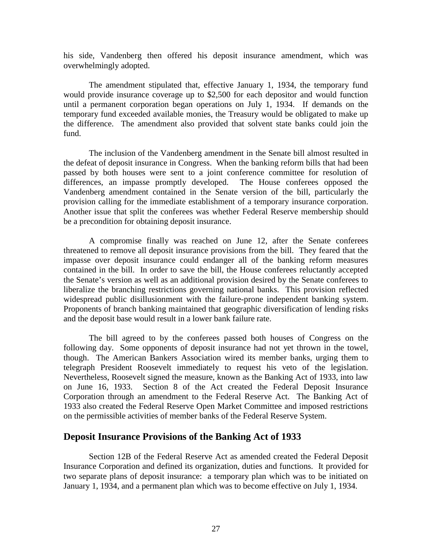his side, Vandenberg then offered his deposit insurance amendment, which was overwhelmingly adopted.

The amendment stipulated that, effective January 1, 1934, the temporary fund would provide insurance coverage up to \$2,500 for each depositor and would function until a permanent corporation began operations on July 1, 1934. If demands on the temporary fund exceeded available monies, the Treasury would be obligated to make up the difference. The amendment also provided that solvent state banks could join the fund.

The inclusion of the Vandenberg amendment in the Senate bill almost resulted in the defeat of deposit insurance in Congress. When the banking reform bills that had been passed by both houses were sent to a joint conference committee for resolution of differences, an impasse promptly developed. The House conferees opposed the Vandenberg amendment contained in the Senate version of the bill, particularly the provision calling for the immediate establishment of a temporary insurance corporation. Another issue that split the conferees was whether Federal Reserve membership should be a precondition for obtaining deposit insurance.

A compromise finally was reached on June 12, after the Senate conferees threatened to remove all deposit insurance provisions from the bill. They feared that the impasse over deposit insurance could endanger all of the banking reform measures contained in the bill. In order to save the bill, the House conferees reluctantly accepted the Senate's version as well as an additional provision desired by the Senate conferees to liberalize the branching restrictions governing national banks. This provision reflected widespread public disillusionment with the failure-prone independent banking system. Proponents of branch banking maintained that geographic diversification of lending risks and the deposit base would result in a lower bank failure rate.

The bill agreed to by the conferees passed both houses of Congress on the following day. Some opponents of deposit insurance had not yet thrown in the towel, though. The American Bankers Association wired its member banks, urging them to telegraph President Roosevelt immediately to request his veto of the legislation. Nevertheless, Roosevelt signed the measure, known as the Banking Act of 1933, into law on June 16, 1933. Section 8 of the Act created the Federal Deposit Insurance Corporation through an amendment to the Federal Reserve Act. The Banking Act of 1933 also created the Federal Reserve Open Market Committee and imposed restrictions on the permissible activities of member banks of the Federal Reserve System.

#### **Deposit Insurance Provisions of the Banking Act of 1933**

Section 12B of the Federal Reserve Act as amended created the Federal Deposit Insurance Corporation and defined its organization, duties and functions. It provided for two separate plans of deposit insurance: a temporary plan which was to be initiated on January 1, 1934, and a permanent plan which was to become effective on July 1, 1934.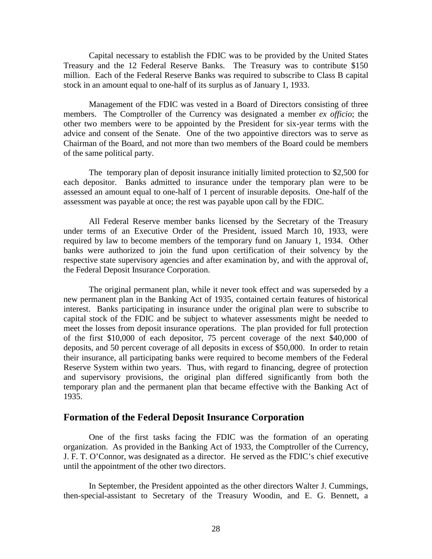Capital necessary to establish the FDIC was to be provided by the United States Treasury and the 12 Federal Reserve Banks. The Treasury was to contribute \$150 million. Each of the Federal Reserve Banks was required to subscribe to Class B capital stock in an amount equal to one-half of its surplus as of January 1, 1933.

Management of the FDIC was vested in a Board of Directors consisting of three members. The Comptroller of the Currency was designated a member *ex officio*; the other two members were to be appointed by the President for six-year terms with the advice and consent of the Senate. One of the two appointive directors was to serve as Chairman of the Board, and not more than two members of the Board could be members of the same political party.

The temporary plan of deposit insurance initially limited protection to \$2,500 for each depositor. Banks admitted to insurance under the temporary plan were to be assessed an amount equal to one-half of 1 percent of insurable deposits. One-half of the assessment was payable at once; the rest was payable upon call by the FDIC.

All Federal Reserve member banks licensed by the Secretary of the Treasury under terms of an Executive Order of the President, issued March 10, 1933, were required by law to become members of the temporary fund on January 1, 1934. Other banks were authorized to join the fund upon certification of their solvency by the respective state supervisory agencies and after examination by, and with the approval of, the Federal Deposit Insurance Corporation.

The original permanent plan, while it never took effect and was superseded by a new permanent plan in the Banking Act of 1935, contained certain features of historical interest. Banks participating in insurance under the original plan were to subscribe to capital stock of the FDIC and be subject to whatever assessments might be needed to meet the losses from deposit insurance operations. The plan provided for full protection of the first \$10,000 of each depositor, 75 percent coverage of the next \$40,000 of deposits, and 50 percent coverage of all deposits in excess of \$50,000. In order to retain their insurance, all participating banks were required to become members of the Federal Reserve System within two years. Thus, with regard to financing, degree of protection and supervisory provisions, the original plan differed significantly from both the temporary plan and the permanent plan that became effective with the Banking Act of 1935.

## **Formation of the Federal Deposit Insurance Corporation**

One of the first tasks facing the FDIC was the formation of an operating organization. As provided in the Banking Act of 1933, the Comptroller of the Currency, J. F. T. O'Connor, was designated as a director. He served as the FDIC's chief executive until the appointment of the other two directors.

In September, the President appointed as the other directors Walter J. Cummings, then-special-assistant to Secretary of the Treasury Woodin, and E. G. Bennett, a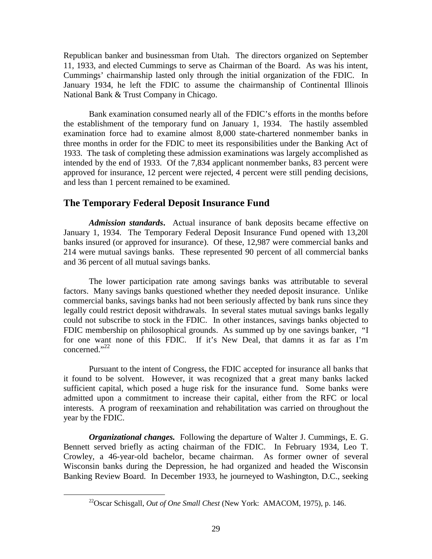Republican banker and businessman from Utah. The directors organized on September 11, 1933, and elected Cummings to serve as Chairman of the Board. As was his intent, Cummings' chairmanship lasted only through the initial organization of the FDIC. In January 1934, he left the FDIC to assume the chairmanship of Continental Illinois National Bank & Trust Company in Chicago.

Bank examination consumed nearly all of the FDIC's efforts in the months before the establishment of the temporary fund on January 1, 1934. The hastily assembled examination force had to examine almost 8,000 state-chartered nonmember banks in three months in order for the FDIC to meet its responsibilities under the Banking Act of 1933. The task of completing these admission examinations was largely accomplished as intended by the end of 1933. Of the 7,834 applicant nonmember banks, 83 percent were approved for insurance, 12 percent were rejected, 4 percent were still pending decisions, and less than 1 percent remained to be examined.

## **The Temporary Federal Deposit Insurance Fund**

*Admission standards***.** Actual insurance of bank deposits became effective on January 1, 1934. The Temporary Federal Deposit Insurance Fund opened with 13,20l banks insured (or approved for insurance). Of these, 12,987 were commercial banks and 214 were mutual savings banks. These represented 90 percent of all commercial banks and 36 percent of all mutual savings banks.

The lower participation rate among savings banks was attributable to several factors. Many savings banks questioned whether they needed deposit insurance. Unlike commercial banks, savings banks had not been seriously affected by bank runs since they legally could restrict deposit withdrawals. In several states mutual savings banks legally could not subscribe to stock in the FDIC. In other instances, savings banks objected to FDIC membership on philosophical grounds. As summed up by one savings banker, "I for one want none of this FDIC. If it's New Deal, that damns it as far as I'm concerned. $"^{22}$ 

Pursuant to the intent of Congress, the FDIC accepted for insurance all banks that it found to be solvent. However, it was recognized that a great many banks lacked sufficient capital, which posed a huge risk for the insurance fund. Some banks were admitted upon a commitment to increase their capital, either from the RFC or local interests. A program of reexamination and rehabilitation was carried on throughout the year by the FDIC.

*Organizational changes.* Following the departure of Walter J. Cummings, E. G. Bennett served briefly as acting chairman of the FDIC. In February 1934, Leo T. Crowley, a 46-year-old bachelor, became chairman. As former owner of several Wisconsin banks during the Depression, he had organized and headed the Wisconsin Banking Review Board. In December 1933, he journeyed to Washington, D.C., seeking

 <sup>22</sup>Oscar Schisgall, *Out of One Small Chest* (New York: AMACOM, 1975), p. 146.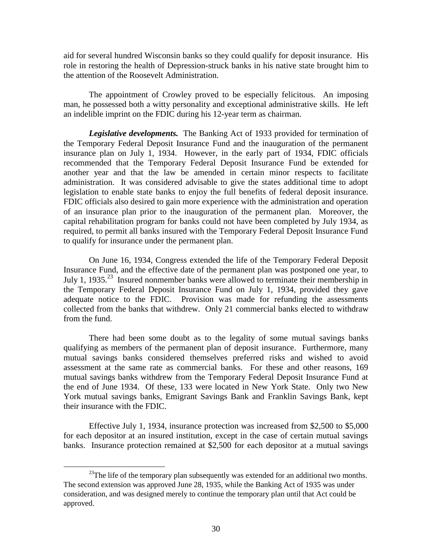aid for several hundred Wisconsin banks so they could qualify for deposit insurance. His role in restoring the health of Depression-struck banks in his native state brought him to the attention of the Roosevelt Administration.

The appointment of Crowley proved to be especially felicitous. An imposing man, he possessed both a witty personality and exceptional administrative skills. He left an indelible imprint on the FDIC during his 12-year term as chairman.

*Legislative developments.* The Banking Act of 1933 provided for termination of the Temporary Federal Deposit Insurance Fund and the inauguration of the permanent insurance plan on July 1, 1934. However, in the early part of 1934, FDIC officials recommended that the Temporary Federal Deposit Insurance Fund be extended for another year and that the law be amended in certain minor respects to facilitate administration. It was considered advisable to give the states additional time to adopt legislation to enable state banks to enjoy the full benefits of federal deposit insurance. FDIC officials also desired to gain more experience with the administration and operation of an insurance plan prior to the inauguration of the permanent plan. Moreover, the capital rehabilitation program for banks could not have been completed by July 1934, as required, to permit all banks insured with the Temporary Federal Deposit Insurance Fund to qualify for insurance under the permanent plan.

On June 16, 1934, Congress extended the life of the Temporary Federal Deposit Insurance Fund, and the effective date of the permanent plan was postponed one year, to July 1, 1935.<sup>23</sup> Insured nonmember banks were allowed to terminate their membership in the Temporary Federal Deposit Insurance Fund on July 1, 1934, provided they gave adequate notice to the FDIC. Provision was made for refunding the assessments collected from the banks that withdrew. Only 21 commercial banks elected to withdraw from the fund.

There had been some doubt as to the legality of some mutual savings banks qualifying as members of the permanent plan of deposit insurance. Furthermore, many mutual savings banks considered themselves preferred risks and wished to avoid assessment at the same rate as commercial banks. For these and other reasons, 169 mutual savings banks withdrew from the Temporary Federal Deposit Insurance Fund at the end of June 1934. Of these, 133 were located in New York State. Only two New York mutual savings banks, Emigrant Savings Bank and Franklin Savings Bank, kept their insurance with the FDIC.

Effective July 1, 1934, insurance protection was increased from \$2,500 to \$5,000 for each depositor at an insured institution, except in the case of certain mutual savings banks. Insurance protection remained at \$2,500 for each depositor at a mutual savings

<sup>&</sup>lt;sup>23</sup>The life of the temporary plan subsequently was extended for an additional two months. The second extension was approved June 28, 1935, while the Banking Act of 1935 was under consideration, and was designed merely to continue the temporary plan until that Act could be approved.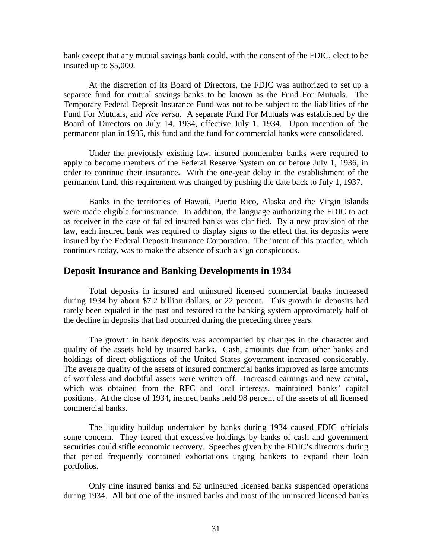bank except that any mutual savings bank could, with the consent of the FDIC, elect to be insured up to \$5,000.

At the discretion of its Board of Directors, the FDIC was authorized to set up a separate fund for mutual savings banks to be known as the Fund For Mutuals. The Temporary Federal Deposit Insurance Fund was not to be subject to the liabilities of the Fund For Mutuals, and *vice versa*. A separate Fund For Mutuals was established by the Board of Directors on July 14, 1934, effective July 1, 1934. Upon inception of the permanent plan in 1935, this fund and the fund for commercial banks were consolidated.

Under the previously existing law, insured nonmember banks were required to apply to become members of the Federal Reserve System on or before July 1, 1936, in order to continue their insurance. With the one-year delay in the establishment of the permanent fund, this requirement was changed by pushing the date back to July 1, 1937.

Banks in the territories of Hawaii, Puerto Rico, Alaska and the Virgin Islands were made eligible for insurance. In addition, the language authorizing the FDIC to act as receiver in the case of failed insured banks was clarified. By a new provision of the law, each insured bank was required to display signs to the effect that its deposits were insured by the Federal Deposit Insurance Corporation. The intent of this practice, which continues today, was to make the absence of such a sign conspicuous.

#### **Deposit Insurance and Banking Developments in 1934**

Total deposits in insured and uninsured licensed commercial banks increased during 1934 by about \$7.2 billion dollars, or 22 percent. This growth in deposits had rarely been equaled in the past and restored to the banking system approximately half of the decline in deposits that had occurred during the preceding three years.

The growth in bank deposits was accompanied by changes in the character and quality of the assets held by insured banks. Cash, amounts due from other banks and holdings of direct obligations of the United States government increased considerably. The average quality of the assets of insured commercial banks improved as large amounts of worthless and doubtful assets were written off. Increased earnings and new capital, which was obtained from the RFC and local interests, maintained banks' capital positions. At the close of 1934, insured banks held 98 percent of the assets of all licensed commercial banks.

The liquidity buildup undertaken by banks during 1934 caused FDIC officials some concern. They feared that excessive holdings by banks of cash and government securities could stifle economic recovery. Speeches given by the FDIC's directors during that period frequently contained exhortations urging bankers to expand their loan portfolios.

Only nine insured banks and 52 uninsured licensed banks suspended operations during 1934. All but one of the insured banks and most of the uninsured licensed banks